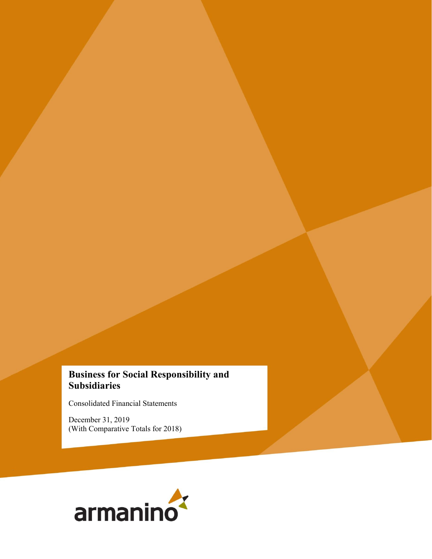# **Business for Social Responsibility and Subsidiaries**

Consolidated Financial Statements

December 31, 2019 (With Comparative Totals for 2018)

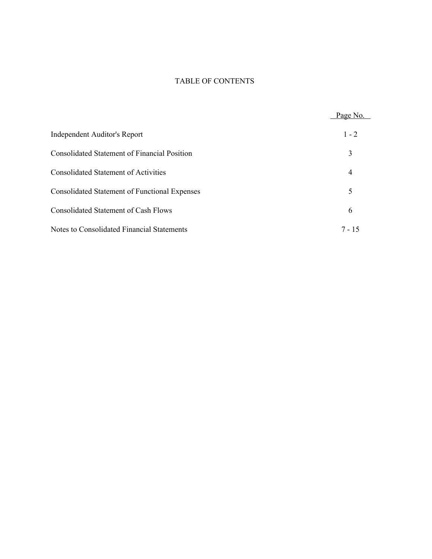### TABLE OF CONTENTS

|                                                      | Page No.       |
|------------------------------------------------------|----------------|
| Independent Auditor's Report                         | $1 - 2$        |
| <b>Consolidated Statement of Financial Position</b>  | 3              |
| <b>Consolidated Statement of Activities</b>          | $\overline{4}$ |
| <b>Consolidated Statement of Functional Expenses</b> | 5              |
| <b>Consolidated Statement of Cash Flows</b>          | 6              |
| Notes to Consolidated Financial Statements           | $7 - 15$       |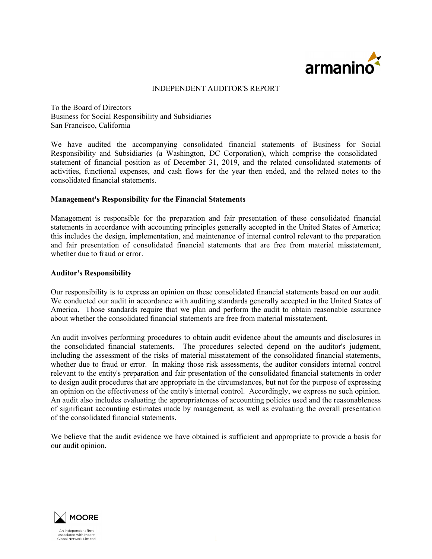

#### INDEPENDENT AUDITOR'S REPORT

To the Board of Directors Business for Social Responsibility and Subsidiaries San Francisco, California

We have audited the accompanying consolidated financial statements of Business for Social Responsibility and Subsidiaries (a Washington, DC Corporation), which comprise the consolidated statement of financial position as of December 31, 2019, and the related consolidated statements of activities, functional expenses, and cash flows for the year then ended, and the related notes to the consolidated financial statements.

#### **Management's Responsibility for the Financial Statements**

Management is responsible for the preparation and fair presentation of these consolidated financial statements in accordance with accounting principles generally accepted in the United States of America; this includes the design, implementation, and maintenance of internal control relevant to the preparation and fair presentation of consolidated financial statements that are free from material misstatement, whether due to fraud or error.

#### **Auditor's Responsibility**

Our responsibility is to express an opinion on these consolidated financial statements based on our audit. We conducted our audit in accordance with auditing standards generally accepted in the United States of America. Those standards require that we plan and perform the audit to obtain reasonable assurance about whether the consolidated financial statements are free from material misstatement.

An audit involves performing procedures to obtain audit evidence about the amounts and disclosures in the consolidated financial statements. The procedures selected depend on the auditor's judgment, including the assessment of the risks of material misstatement of the consolidated financial statements, whether due to fraud or error. In making those risk assessments, the auditor considers internal control relevant to the entity's preparation and fair presentation of the consolidated financial statements in order to design audit procedures that are appropriate in the circumstances, but not for the purpose of expressing an opinion on the effectiveness of the entity's internal control. Accordingly, we express no such opinion. An audit also includes evaluating the appropriateness of accounting policies used and the reasonableness of significant accounting estimates made by management, as well as evaluating the overall presentation of the consolidated financial statements.

We believe that the audit evidence we have obtained is sufficient and appropriate to provide a basis for our audit opinion.



An independent firm Armdependent mm<br>associated with Moore<br>Global Network Limited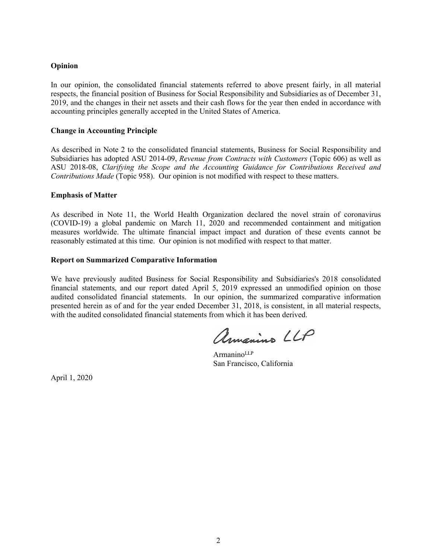#### **Opinion**

In our opinion, the consolidated financial statements referred to above present fairly, in all material respects, the financial position of Business for Social Responsibility and Subsidiaries as of December 31, 2019, and the changes in their net assets and their cash flows for the year then ended in accordance with accounting principles generally accepted in the United States of America.

#### **Change in Accounting Principle**

As described in Note 2 to the consolidated financial statements, Business for Social Responsibility and Subsidiaries has adopted ASU 2014-09, *Revenue from Contracts with Customers* (Topic 606) as well as ASU 2018-08, *Clarifying the Scope and the Accounting Guidance for Contributions Received and Contributions Made* (Topic 958). Our opinion is not modified with respect to these matters.

#### **Emphasis of Matter**

As described in Note 11, the World Health Organization declared the novel strain of coronavirus (COVID-19) a global pandemic on March 11, 2020 and recommended containment and mitigation measures worldwide. The ultimate financial impact impact and duration of these events cannot be reasonably estimated at this time. Our opinion is not modified with respect to that matter.

#### **Report on Summarized Comparative Information**

We have previously audited Business for Social Responsibility and Subsidiaries's 2018 consolidated financial statements, and our report dated April 5, 2019 expressed an unmodified opinion on those audited consolidated financial statements. In our opinion, the summarized comparative information presented herein as of and for the year ended December 31, 2018, is consistent, in all material respects, with the audited consolidated financial statements from which it has been derived.

armanino LLP

ArmaninoLLP San Francisco, California

April 1, 2020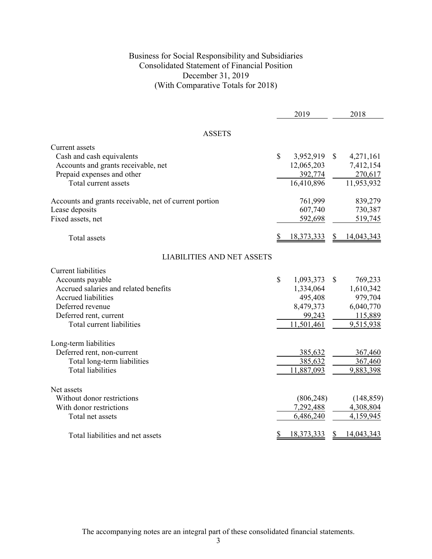# Business for Social Responsibility and Subsidiaries Consolidated Statement of Financial Position December 31, 2019 (With Comparative Totals for 2018)

|                                                                                                                                                                                                  | 2019                                     |                                                                           | 2018                                                                 |
|--------------------------------------------------------------------------------------------------------------------------------------------------------------------------------------------------|------------------------------------------|---------------------------------------------------------------------------|----------------------------------------------------------------------|
| <b>ASSETS</b>                                                                                                                                                                                    |                                          |                                                                           |                                                                      |
| Current assets                                                                                                                                                                                   |                                          |                                                                           |                                                                      |
| Cash and cash equivalents<br>Accounts and grants receivable, net<br>Prepaid expenses and other<br>Total current assets                                                                           | $\mathbb{S}$<br>12,065,203<br>16,410,896 | 3,952,919<br>$\mathbb{S}$<br>392,774                                      | 4,271,161<br>7,412,154<br>270,617<br>11,953,932                      |
| Accounts and grants receivable, net of current portion                                                                                                                                           |                                          | 761,999                                                                   | 839,279                                                              |
| Lease deposits<br>Fixed assets, net                                                                                                                                                              |                                          | 607,740<br>592,698                                                        | 730,387<br>519,745                                                   |
| Total assets                                                                                                                                                                                     | <u>18,373,333</u>                        |                                                                           | <u>14,043,343</u>                                                    |
| <b>LIABILITIES AND NET ASSETS</b>                                                                                                                                                                |                                          |                                                                           |                                                                      |
| <b>Current liabilities</b><br>Accounts payable<br>Accrued salaries and related benefits<br><b>Accrued liabilities</b><br>Deferred revenue<br>Deferred rent, current<br>Total current liabilities | \$<br>$\overline{1}1,501,461$            | 1,093,373<br><sup>\$</sup><br>1,334,064<br>495,408<br>8,479,373<br>99,243 | 769,233<br>1,610,342<br>979,704<br>6,040,770<br>115,889<br>9,515,938 |
| Long-term liabilities                                                                                                                                                                            |                                          |                                                                           |                                                                      |
| Deferred rent, non-current<br>Total long-term liabilities<br><b>Total liabilities</b>                                                                                                            | 11,887,093                               | 385,632<br>385,632                                                        | 367,460<br>367,460<br>9,883,398                                      |
| Net assets                                                                                                                                                                                       |                                          |                                                                           |                                                                      |
| Without donor restrictions                                                                                                                                                                       |                                          | (806, 248)                                                                | (148, 859)                                                           |
| With donor restrictions<br>Total net assets                                                                                                                                                      |                                          | 7,292,488<br>6,486,240                                                    | 4,308,804<br>4,159,945                                               |
| Total liabilities and net assets                                                                                                                                                                 | 18,373,333<br>P                          |                                                                           | 14,043,343                                                           |

The accompanying notes are an integral part of these consolidated financial statements.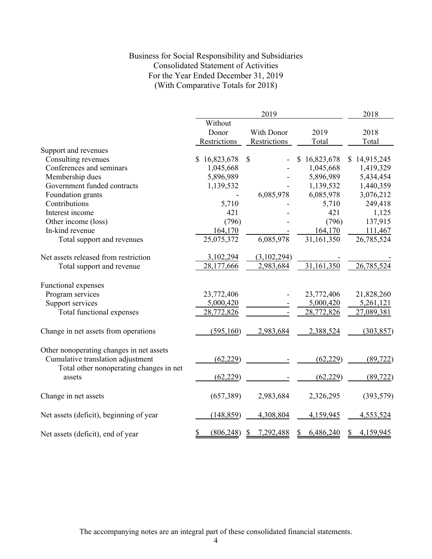# Business for Social Responsibility and Subsidiaries Consolidated Statement of Activities For the Year Ended December 31, 2019 (With Comparative Totals for 2018)

|                                                                               |                                  | 2019                       |               | 2018          |
|-------------------------------------------------------------------------------|----------------------------------|----------------------------|---------------|---------------|
|                                                                               | Without<br>Donor<br>Restrictions | With Donor<br>Restrictions | 2019<br>Total | 2018<br>Total |
| Support and revenues                                                          |                                  |                            |               |               |
| Consulting revenues                                                           | \$16,823,678                     | $\mathbb{S}$               | 16,823,678    | \$14,915,245  |
| Conferences and seminars                                                      | 1,045,668                        |                            | 1,045,668     | 1,419,329     |
| Membership dues                                                               | 5,896,989                        |                            | 5,896,989     | 5,434,454     |
| Government funded contracts                                                   | 1,139,532                        |                            | 1,139,532     | 1,440,359     |
| Foundation grants                                                             |                                  | 6,085,978                  | 6,085,978     | 3,076,212     |
| Contributions                                                                 | 5,710                            |                            | 5,710         | 249,418       |
| Interest income                                                               | 421                              |                            | 421           | 1,125         |
| Other income (loss)                                                           | (796)                            |                            | (796)         | 137,915       |
| In-kind revenue                                                               | 164,170                          |                            | 164,170       | 111,467       |
| Total support and revenues                                                    | 25,075,372                       | 6,085,978                  | 31,161,350    | 26,785,524    |
| Net assets released from restriction                                          | 3,102,294                        | (3,102,294)                |               |               |
| Total support and revenue                                                     | 28,177,666                       | 2,983,684                  | 31,161,350    | 26,785,524    |
| Functional expenses                                                           |                                  |                            |               |               |
| Program services                                                              | 23,772,406                       |                            | 23,772,406    | 21,828,260    |
| Support services                                                              | 5,000,420                        |                            | 5,000,420     | 5,261,121     |
| Total functional expenses                                                     | 28,772,826                       |                            | 28,772,826    | 27,089,381    |
| Change in net assets from operations                                          | (595, 160)                       | 2,983,684                  | 2,388,524     | (303, 857)    |
| Other nonoperating changes in net assets<br>Cumulative translation adjustment | (62, 229)                        |                            | (62, 229)     | (89, 722)     |
| Total other nonoperating changes in net<br>assets                             | (62, 229)                        |                            | (62, 229)     | (89, 722)     |
| Change in net assets                                                          | (657,389)                        | 2,983,684                  | 2,326,295     | (393, 579)    |
| Net assets (deficit), beginning of year                                       | (148, 859)                       | 4,308,804                  | 4,159,945     | 4,553,524     |
| Net assets (deficit), end of year                                             | (806, 248)                       | 7,292,488                  | 6,486,240     | 4,159,945     |

The accompanying notes are an integral part of these consolidated financial statements.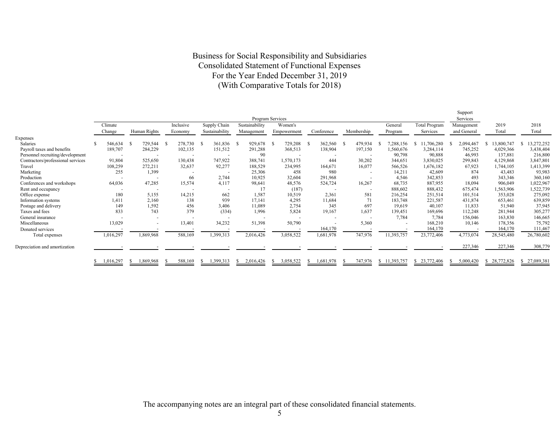# Business for Social Responsibility and Subsidiaries Consolidated Statement of Functional Expenses For the Year Ended December 31, 2019 (With Comparative Totals for 2018)

|                                   |                          |    |              |                          |      |                          |                  |             |            |                          |              |                      | Support     |            |       |            |
|-----------------------------------|--------------------------|----|--------------|--------------------------|------|--------------------------|------------------|-------------|------------|--------------------------|--------------|----------------------|-------------|------------|-------|------------|
|                                   |                          |    |              |                          |      |                          | Program Services |             |            |                          |              |                      | Services    |            |       |            |
|                                   | Climate                  |    |              | Inclusive                |      | Supply Chain             | Sustainability   | Women's     |            |                          | General      | <b>Total Program</b> | Management  | 2019       | 2018  |            |
|                                   | Change                   |    | Human Rights | Economy                  |      | Sustainability           | Management       | Empowerment | Conference | Membership               | Program      | Services             | and General | Total      | Total |            |
| Expenses                          |                          |    |              |                          |      |                          |                  |             |            |                          |              |                      |             |            |       |            |
| Salaries                          | 546,634                  | -8 | 729,544      | 278,730                  | - 85 | 361,836                  | 929,678          | 729,208     | 362,560    | 479,934                  | 1,288,156    | 11,706,280           | 2,094,467   | 13,800,747 |       | 13,272,252 |
| Payroll taxes and benefits        | 189,707                  |    | 284,229      | 102,135                  |      | 151,512                  | 291,288          | 368,513     | 138,904    | 197,150                  | 1,560,676    | 3,284,114            | 745,252     | 4,029,366  |       | 3,438,404  |
| Personnel recruiting/development  |                          |    |              |                          |      |                          | 90               |             |            |                          | 90,798       | 90,888               | 46,993      | 137,881    |       | 216,800    |
| Contractors/professional services | 91,804                   |    | 525,650      | 130,438                  |      | 747,922                  | 388,741          | 1,570,173   | 444        | 30,202                   | 344,651      | 3,830,025            | 299,843     | 4,129,868  |       | 3,847,801  |
| Travel                            | 108,259                  |    | 272,211      | 32,637                   |      | 92,277                   | 188,529          | 234,995     | 164,671    | 16,077                   | 566,526      | 1,676,182            | 67,923      | 1,744,105  |       | 1,413,399  |
| Marketing                         | 255                      |    | 1,399        |                          |      |                          | 25,306           | 458         | 980        |                          | 14,211       | 42,609               | 874         | 43.483     |       | 93,983     |
| Production                        |                          |    |              | 66                       |      | 2,744                    | 10,925           | 32,604      | 291,968    |                          | 4,546        | 342,853              | 493         | 343,346    |       | 360,160    |
| Conferences and workshops         | 64,036                   |    | 47,285       | 15,574                   |      | 4,117                    | 98,641           | 48,576      | 524,724    | 16,267                   | 68,735       | 887,955              | 18,094      | 906,049    |       | 1,022,967  |
| Rent and occupancy                | $\overline{\phantom{a}}$ |    |              | $\overline{\phantom{a}}$ |      | $\overline{\phantom{a}}$ | 17               | (187)       |            | $\overline{\phantom{a}}$ | 888,602      | 888,432              | 675,474     | 1,563,906  |       | 1,522,739  |
| Office expense                    | 180                      |    | 5,155        | 14,215                   |      | 662                      | 1.587            | 10,519      | 2.361      | 581                      | 216,254      | 251,514              | 101,514     | 353,028    |       | 275,092    |
| Information systems               | 1,411                    |    | 2,160        | 138                      |      | 939                      | 17,141           | 4,295       | 11,684     | 71                       | 183,748      | 221,587              | 431,874     | 653,461    |       | 639,859    |
| Postage and delivery              | 149                      |    | 1,592        | 456                      |      | 3,406                    | 11,089           | 2,754       | 345        | 697                      | 19,619       | 40,107               | 11,833      | 51,940     |       | 37,945     |
| Taxes and fees                    | 833                      |    | 743          | 379                      |      | (334)                    | 1,996            | 5,824       | 19,167     | 1.637                    | 139,451      | 169,696              | 112,248     | 281,944    |       | 305,277    |
| General insurance                 |                          |    |              |                          |      |                          |                  |             |            | . .                      | 7,784        | 7,784                | 156,046     | 163,830    |       | 146,665    |
| Miscellaneous                     | 13,029                   |    |              | 13,401                   |      | 34,232                   | 51,398           | 50,790      |            | 5,360                    | $\sim$       | 168,210              | 10,146      | 178,356    |       | 75,792     |
| Donated services                  |                          |    |              |                          |      |                          |                  |             | 164,170    |                          |              | 164,170              |             | 164,170    |       | 111,467    |
| Total expenses                    | 1,016,297                |    | 1,869,968    | 588,169                  |      | 1,399,313                | 2,016,426        | 3,058,522   | 1,681,978  | 747,976                  | 11,393,757   | 23,772,406           | 4,773,074   | 28,545,480 |       | 26,780,602 |
| Depreciation and amortization     |                          |    |              |                          |      |                          |                  |             |            |                          |              |                      | 227,346     | 227,346    |       | 308,779    |
|                                   | 1,016,297                |    | 1,869,968    | 588,169                  |      | 1,399,313                | 2,016,426        | 3,058,522   | 1,681,978  | 747,976                  | \$11,393,757 | 23,772,406           | 5,000,420   | 28,772,826 |       | 27,089,381 |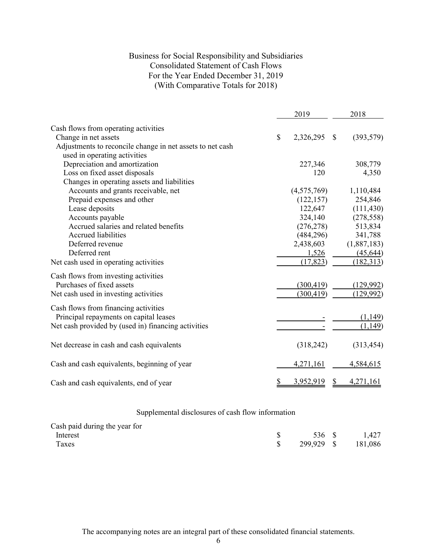# Business for Social Responsibility and Subsidiaries Consolidated Statement of Cash Flows For the Year Ended December 31, 2019 (With Comparative Totals for 2018)

|                                                           | 2019            |    | 2018        |
|-----------------------------------------------------------|-----------------|----|-------------|
| Cash flows from operating activities                      |                 |    |             |
| Change in net assets                                      | \$<br>2,326,295 | \$ | (393, 579)  |
| Adjustments to reconcile change in net assets to net cash |                 |    |             |
| used in operating activities                              |                 |    |             |
| Depreciation and amortization                             | 227,346         |    | 308,779     |
| Loss on fixed asset disposals                             | 120             |    | 4,350       |
| Changes in operating assets and liabilities               |                 |    |             |
| Accounts and grants receivable, net                       | (4,575,769)     |    | 1,110,484   |
| Prepaid expenses and other                                | (122, 157)      |    | 254,846     |
| Lease deposits                                            | 122,647         |    | (111, 430)  |
| Accounts payable                                          | 324,140         |    | (278, 558)  |
| Accrued salaries and related benefits                     | (276, 278)      |    | 513,834     |
| <b>Accrued liabilities</b>                                | (484, 296)      |    | 341,788     |
| Deferred revenue                                          | 2,438,603       |    | (1,887,183) |
| Deferred rent                                             | 1,526           |    | (45, 644)   |
| Net cash used in operating activities                     | (17, 823)       |    | (182, 313)  |
| Cash flows from investing activities                      |                 |    |             |
| Purchases of fixed assets                                 | (300, 419)      |    | (129,992)   |
| Net cash used in investing activities                     | (300, 419)      |    | (129,992)   |
| Cash flows from financing activities                      |                 |    |             |
| Principal repayments on capital leases                    |                 |    | (1,149)     |
| Net cash provided by (used in) financing activities       |                 |    | (1,149)     |
| Net decrease in cash and cash equivalents                 | (318,242)       |    | (313, 454)  |
| Cash and cash equivalents, beginning of year              | 4,271,161       |    | 4,584,615   |
| Cash and cash equivalents, end of year                    | 3,952,919       | S  | 4,271,161   |
|                                                           |                 |    |             |

# Supplemental disclosures of cash flow information

| Cash paid during the year for |                    |              |
|-------------------------------|--------------------|--------------|
| Interest                      |                    | 536 \$ 1,427 |
| Taxes                         | 299,929 \$ 181,086 |              |

The accompanying notes are an integral part of these consolidated financial statements.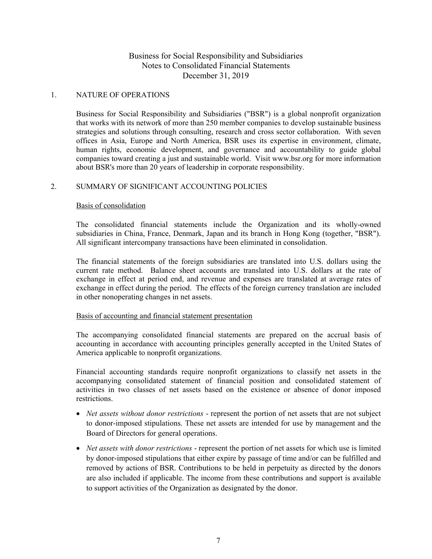#### 1. NATURE OF OPERATIONS

Business for Social Responsibility and Subsidiaries ("BSR") is a global nonprofit organization that works with its network of more than 250 member companies to develop sustainable business strategies and solutions through consulting, research and cross sector collaboration. With seven offices in Asia, Europe and North America, BSR uses its expertise in environment, climate, human rights, economic development, and governance and accountability to guide global companies toward creating a just and sustainable world. Visit www.bsr.org for more information about BSR's more than 20 years of leadership in corporate responsibility.

#### 2. SUMMARY OF SIGNIFICANT ACCOUNTING POLICIES

#### Basis of consolidation

The consolidated financial statements include the Organization and its wholly-owned subsidiaries in China, France, Denmark, Japan and its branch in Hong Kong (together, "BSR"). All significant intercompany transactions have been eliminated in consolidation.

The financial statements of the foreign subsidiaries are translated into U.S. dollars using the current rate method. Balance sheet accounts are translated into U.S. dollars at the rate of exchange in effect at period end, and revenue and expenses are translated at average rates of exchange in effect during the period. The effects of the foreign currency translation are included in other nonoperating changes in net assets.

#### Basis of accounting and financial statement presentation

The accompanying consolidated financial statements are prepared on the accrual basis of accounting in accordance with accounting principles generally accepted in the United States of America applicable to nonprofit organizations.

Financial accounting standards require nonprofit organizations to classify net assets in the accompanying consolidated statement of financial position and consolidated statement of activities in two classes of net assets based on the existence or absence of donor imposed restrictions.

- *Net assets without donor restrictions* represent the portion of net assets that are not subject to donor-imposed stipulations. These net assets are intended for use by management and the Board of Directors for general operations.
- *Net assets with donor restrictions* represent the portion of net assets for which use is limited by donor-imposed stipulations that either expire by passage of time and/or can be fulfilled and removed by actions of BSR. Contributions to be held in perpetuity as directed by the donors are also included if applicable. The income from these contributions and support is available to support activities of the Organization as designated by the donor.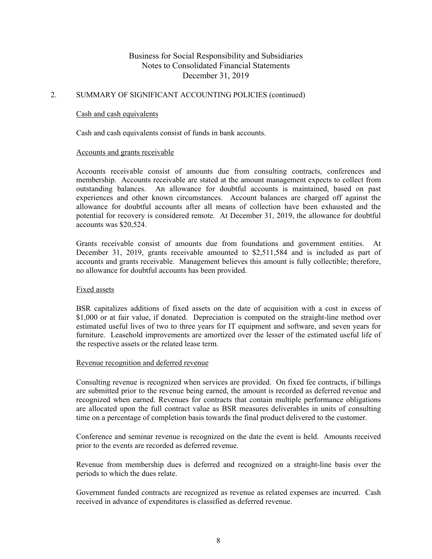#### 2. SUMMARY OF SIGNIFICANT ACCOUNTING POLICIES (continued)

#### Cash and cash equivalents

Cash and cash equivalents consist of funds in bank accounts.

#### Accounts and grants receivable

Accounts receivable consist of amounts due from consulting contracts, conferences and membership. Accounts receivable are stated at the amount management expects to collect from outstanding balances. An allowance for doubtful accounts is maintained, based on past experiences and other known circumstances. Account balances are charged off against the allowance for doubtful accounts after all means of collection have been exhausted and the potential for recovery is considered remote. At December 31, 2019, the allowance for doubtful accounts was \$20,524.

Grants receivable consist of amounts due from foundations and government entities. At December 31, 2019, grants receivable amounted to \$2,511,584 and is included as part of accounts and grants receivable. Management believes this amount is fully collectible; therefore, no allowance for doubtful accounts has been provided.

#### Fixed assets

BSR capitalizes additions of fixed assets on the date of acquisition with a cost in excess of \$1,000 or at fair value, if donated. Depreciation is computed on the straight-line method over estimated useful lives of two to three years for IT equipment and software, and seven years for furniture. Leasehold improvements are amortized over the lesser of the estimated useful life of the respective assets or the related lease term.

#### Revenue recognition and deferred revenue

Consulting revenue is recognized when services are provided. On fixed fee contracts, if billings are submitted prior to the revenue being earned, the amount is recorded as deferred revenue and recognized when earned. Revenues for contracts that contain multiple performance obligations are allocated upon the full contract value as BSR measures deliverables in units of consulting time on a percentage of completion basis towards the final product delivered to the customer.

Conference and seminar revenue is recognized on the date the event is held. Amounts received prior to the events are recorded as deferred revenue.

Revenue from membership dues is deferred and recognized on a straight-line basis over the periods to which the dues relate.

Government funded contracts are recognized as revenue as related expenses are incurred. Cash received in advance of expenditures is classified as deferred revenue.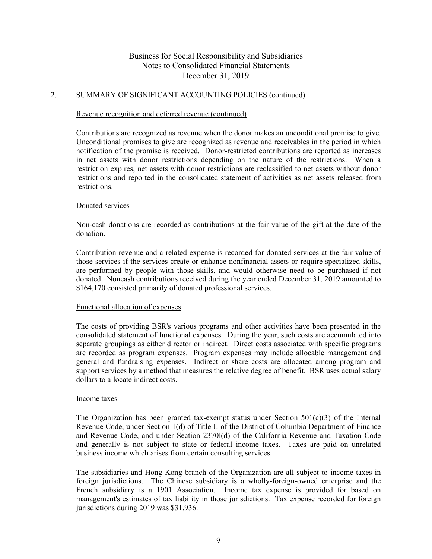#### 2. SUMMARY OF SIGNIFICANT ACCOUNTING POLICIES (continued)

#### Revenue recognition and deferred revenue (continued)

Contributions are recognized as revenue when the donor makes an unconditional promise to give. Unconditional promises to give are recognized as revenue and receivables in the period in which notification of the promise is received. Donor-restricted contributions are reported as increases in net assets with donor restrictions depending on the nature of the restrictions. When a restriction expires, net assets with donor restrictions are reclassified to net assets without donor restrictions and reported in the consolidated statement of activities as net assets released from restrictions.

#### Donated services

Non-cash donations are recorded as contributions at the fair value of the gift at the date of the donation.

Contribution revenue and a related expense is recorded for donated services at the fair value of those services if the services create or enhance nonfinancial assets or require specialized skills, are performed by people with those skills, and would otherwise need to be purchased if not donated. Noncash contributions received during the year ended December 31, 2019 amounted to \$164,170 consisted primarily of donated professional services.

#### Functional allocation of expenses

The costs of providing BSR's various programs and other activities have been presented in the consolidated statement of functional expenses. During the year, such costs are accumulated into separate groupings as either director or indirect. Direct costs associated with specific programs are recorded as program expenses. Program expenses may include allocable management and general and fundraising expenses. Indirect or share costs are allocated among program and support services by a method that measures the relative degree of benefit. BSR uses actual salary dollars to allocate indirect costs.

#### Income taxes

The Organization has been granted tax-exempt status under Section  $501(c)(3)$  of the Internal Revenue Code, under Section 1(d) of Title II of the District of Columbia Department of Finance and Revenue Code, and under Section 2370l(d) of the California Revenue and Taxation Code and generally is not subject to state or federal income taxes. Taxes are paid on unrelated business income which arises from certain consulting services.

The subsidiaries and Hong Kong branch of the Organization are all subject to income taxes in foreign jurisdictions. The Chinese subsidiary is a wholly-foreign-owned enterprise and the French subsidiary is a 1901 Association. Income tax expense is provided for based on management's estimates of tax liability in those jurisdictions. Tax expense recorded for foreign jurisdictions during 2019 was \$31,936.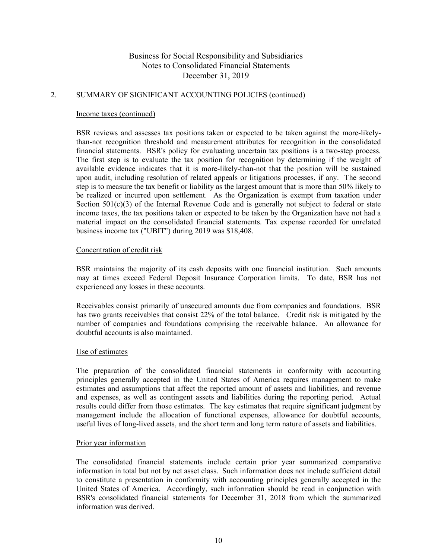#### 2. SUMMARY OF SIGNIFICANT ACCOUNTING POLICIES (continued)

#### Income taxes (continued)

BSR reviews and assesses tax positions taken or expected to be taken against the more-likelythan-not recognition threshold and measurement attributes for recognition in the consolidated financial statements. BSR's policy for evaluating uncertain tax positions is a two-step process. The first step is to evaluate the tax position for recognition by determining if the weight of available evidence indicates that it is more-likely-than-not that the position will be sustained upon audit, including resolution of related appeals or litigations processes, if any. The second step is to measure the tax benefit or liability as the largest amount that is more than 50% likely to be realized or incurred upon settlement. As the Organization is exempt from taxation under Section 501(c)(3) of the Internal Revenue Code and is generally not subject to federal or state income taxes, the tax positions taken or expected to be taken by the Organization have not had a material impact on the consolidated financial statements. Tax expense recorded for unrelated business income tax ("UBIT") during 2019 was \$18,408.

#### Concentration of credit risk

BSR maintains the majority of its cash deposits with one financial institution. Such amounts may at times exceed Federal Deposit Insurance Corporation limits. To date, BSR has not experienced any losses in these accounts.

Receivables consist primarily of unsecured amounts due from companies and foundations. BSR has two grants receivables that consist 22% of the total balance. Credit risk is mitigated by the number of companies and foundations comprising the receivable balance. An allowance for doubtful accounts is also maintained.

#### Use of estimates

The preparation of the consolidated financial statements in conformity with accounting principles generally accepted in the United States of America requires management to make estimates and assumptions that affect the reported amount of assets and liabilities, and revenue and expenses, as well as contingent assets and liabilities during the reporting period. Actual results could differ from those estimates. The key estimates that require significant judgment by management include the allocation of functional expenses, allowance for doubtful accounts, useful lives of long-lived assets, and the short term and long term nature of assets and liabilities.

#### Prior year information

The consolidated financial statements include certain prior year summarized comparative information in total but not by net asset class. Such information does not include sufficient detail to constitute a presentation in conformity with accounting principles generally accepted in the United States of America. Accordingly, such information should be read in conjunction with BSR's consolidated financial statements for December 31, 2018 from which the summarized information was derived.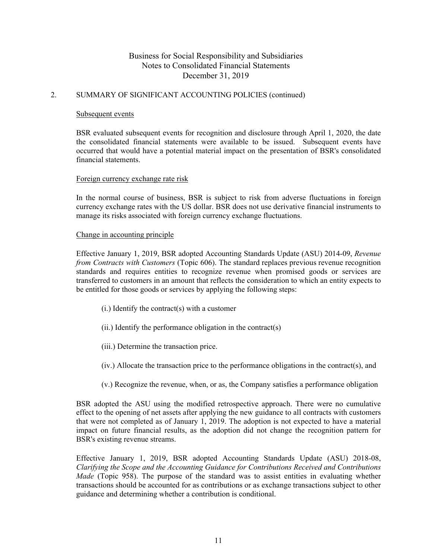#### 2. SUMMARY OF SIGNIFICANT ACCOUNTING POLICIES (continued)

#### Subsequent events

BSR evaluated subsequent events for recognition and disclosure through April 1, 2020, the date the consolidated financial statements were available to be issued. Subsequent events have occurred that would have a potential material impact on the presentation of BSR's consolidated financial statements.

#### Foreign currency exchange rate risk

In the normal course of business, BSR is subject to risk from adverse fluctuations in foreign currency exchange rates with the US dollar. BSR does not use derivative financial instruments to manage its risks associated with foreign currency exchange fluctuations.

#### Change in accounting principle

Effective January 1, 2019, BSR adopted Accounting Standards Update (ASU) 2014-09, *Revenue from Contracts with Customers* (Topic 606). The standard replaces previous revenue recognition standards and requires entities to recognize revenue when promised goods or services are transferred to customers in an amount that reflects the consideration to which an entity expects to be entitled for those goods or services by applying the following steps:

- (i.) Identify the contract(s) with a customer
- (ii.) Identify the performance obligation in the contract(s)
- (iii.) Determine the transaction price.
- (iv.) Allocate the transaction price to the performance obligations in the contract(s), and
- (v.) Recognize the revenue, when, or as, the Company satisfies a performance obligation

BSR adopted the ASU using the modified retrospective approach. There were no cumulative effect to the opening of net assets after applying the new guidance to all contracts with customers that were not completed as of January 1, 2019. The adoption is not expected to have a material impact on future financial results, as the adoption did not change the recognition pattern for BSR's existing revenue streams.

Effective January 1, 2019, BSR adopted Accounting Standards Update (ASU) 2018-08, *Clarifying the Scope and the Accounting Guidance for Contributions Received and Contributions Made* (Topic 958). The purpose of the standard was to assist entities in evaluating whether transactions should be accounted for as contributions or as exchange transactions subject to other guidance and determining whether a contribution is conditional.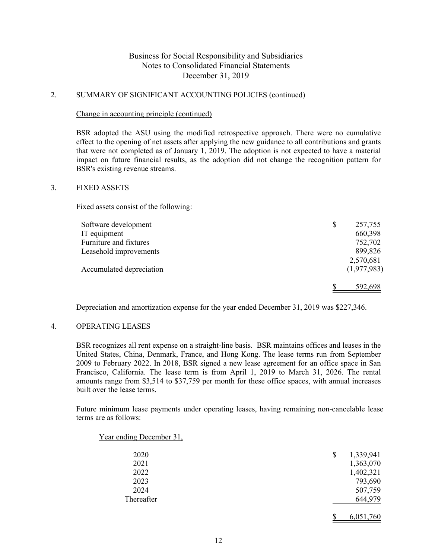#### 2. SUMMARY OF SIGNIFICANT ACCOUNTING POLICIES (continued)

#### Change in accounting principle (continued)

BSR adopted the ASU using the modified retrospective approach. There were no cumulative effect to the opening of net assets after applying the new guidance to all contributions and grants that were not completed as of January 1, 2019. The adoption is not expected to have a material impact on future financial results, as the adoption did not change the recognition pattern for BSR's existing revenue streams.

### 3. FIXED ASSETS

Fixed assets consist of the following:

| Software development     | \$<br>257,755 |
|--------------------------|---------------|
| IT equipment             | 660,398       |
| Furniture and fixtures   | 752,702       |
| Leasehold improvements   | 899,826       |
|                          | 2,570,681     |
| Accumulated depreciation | (1,977,983)   |
|                          | 592,698       |

Depreciation and amortization expense for the year ended December 31, 2019 was \$227,346.

#### 4. OPERATING LEASES

BSR recognizes all rent expense on a straight-line basis. BSR maintains offices and leases in the United States, China, Denmark, France, and Hong Kong. The lease terms run from September 2009 to February 2022. In 2018, BSR signed a new lease agreement for an office space in San Francisco, California. The lease term is from April 1, 2019 to March 31, 2026. The rental amounts range from \$3,514 to \$37,759 per month for these office spaces, with annual increases built over the lease terms.

Future minimum lease payments under operating leases, having remaining non-cancelable lease terms are as follows:

| 2020       | 1,339,941<br>\$ |
|------------|-----------------|
| 2021       | 1,363,070       |
| 2022       | 1,402,321       |
| 2023       | 793,690         |
| 2024       | 507,759         |
| Thereafter | 644,979         |
|            |                 |
|            | 6,051,760       |

Year ending December 31,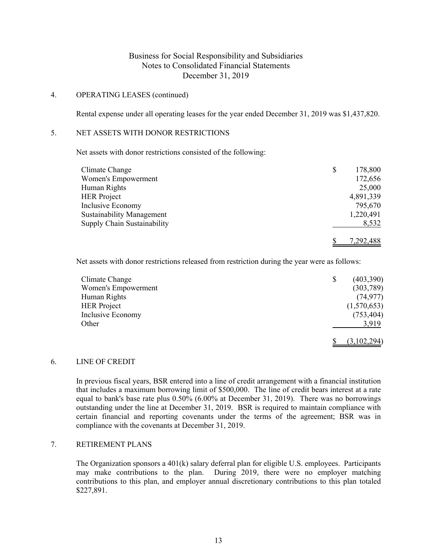#### 4. OPERATING LEASES (continued)

Rental expense under all operating leases for the year ended December 31, 2019 was \$1,437,820.

#### 5. NET ASSETS WITH DONOR RESTRICTIONS

Net assets with donor restrictions consisted of the following:

| Climate Change                   | 178,800<br>\$ |  |
|----------------------------------|---------------|--|
| Women's Empowerment              | 172,656       |  |
| Human Rights                     | 25,000        |  |
| <b>HER</b> Project               | 4,891,339     |  |
| Inclusive Economy                | 795,670       |  |
| <b>Sustainability Management</b> | 1,220,491     |  |
| Supply Chain Sustainability      | 8,532         |  |
|                                  | 7,292,488     |  |

Net assets with donor restrictions released from restriction during the year were as follows:

| Climate Change      | \$<br>(403,390) |
|---------------------|-----------------|
| Women's Empowerment | (303,789)       |
| Human Rights        | (74, 977)       |
| <b>HER</b> Project  | (1,570,653)     |
| Inclusive Economy   | (753, 404)      |
| Other               | 3,919           |
|                     | (3,102,294)     |

#### 6. LINE OF CREDIT

In previous fiscal years, BSR entered into a line of credit arrangement with a financial institution that includes a maximum borrowing limit of \$500,000. The line of credit bears interest at a rate equal to bank's base rate plus  $0.50\%$  (6.00% at December 31, 2019). There was no borrowings outstanding under the line at December 31, 2019. BSR is required to maintain compliance with certain financial and reporting covenants under the terms of the agreement; BSR was in compliance with the covenants at December 31, 2019.

### 7. RETIREMENT PLANS

The Organization sponsors a 401(k) salary deferral plan for eligible U.S. employees. Participants may make contributions to the plan. During 2019, there were no employer matching contributions to this plan, and employer annual discretionary contributions to this plan totaled \$227,891.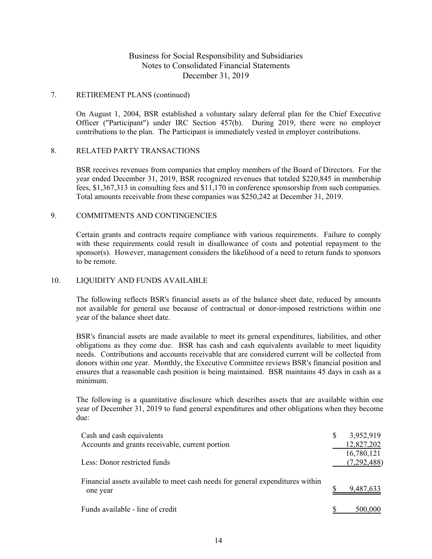#### 7. RETIREMENT PLANS (continued)

On August 1, 2004, BSR established a voluntary salary deferral plan for the Chief Executive Officer ("Participant") under IRC Section 457(b). During 2019, there were no employer contributions to the plan. The Participant is immediately vested in employer contributions.

#### 8. RELATED PARTY TRANSACTIONS

BSR receives revenues from companies that employ members of the Board of Directors. For the year ended December 31, 2019, BSR recognized revenues that totaled \$220,845 in membership fees, \$1,367,313 in consulting fees and \$11,170 in conference sponsorship from such companies. Total amounts receivable from these companies was \$250,242 at December 31, 2019.

#### 9. COMMITMENTS AND CONTINGENCIES

Certain grants and contracts require compliance with various requirements. Failure to comply with these requirements could result in disallowance of costs and potential repayment to the sponsor(s). However, management considers the likelihood of a need to return funds to sponsors to be remote.

#### 10. LIQUIDITY AND FUNDS AVAILABLE

The following reflects BSR's financial assets as of the balance sheet date, reduced by amounts not available for general use because of contractual or donor-imposed restrictions within one year of the balance sheet date.

BSR's financial assets are made available to meet its general expenditures, liabilities, and other obligations as they come due. BSR has cash and cash equivalents available to meet liquidity needs. Contributions and accounts receivable that are considered current will be collected from donors within one year. Monthly, the Executive Committee reviews BSR's financial position and ensures that a reasonable cash position is being maintained. BSR maintains 45 days in cash as a minimum.

The following is a quantitative disclosure which describes assets that are available within one year of December 31, 2019 to fund general expenditures and other obligations when they become due:

| Cash and cash equivalents                                                     | 3,952,919   |
|-------------------------------------------------------------------------------|-------------|
| Accounts and grants receivable, current portion                               | 12,827,202  |
|                                                                               | 16,780,121  |
| Less: Donor restricted funds                                                  | (7,292,488) |
|                                                                               |             |
| Financial assets available to meet cash needs for general expenditures within | 9,487,633   |
| one year                                                                      |             |
|                                                                               |             |
| Funds available - line of credit                                              | 500,000     |